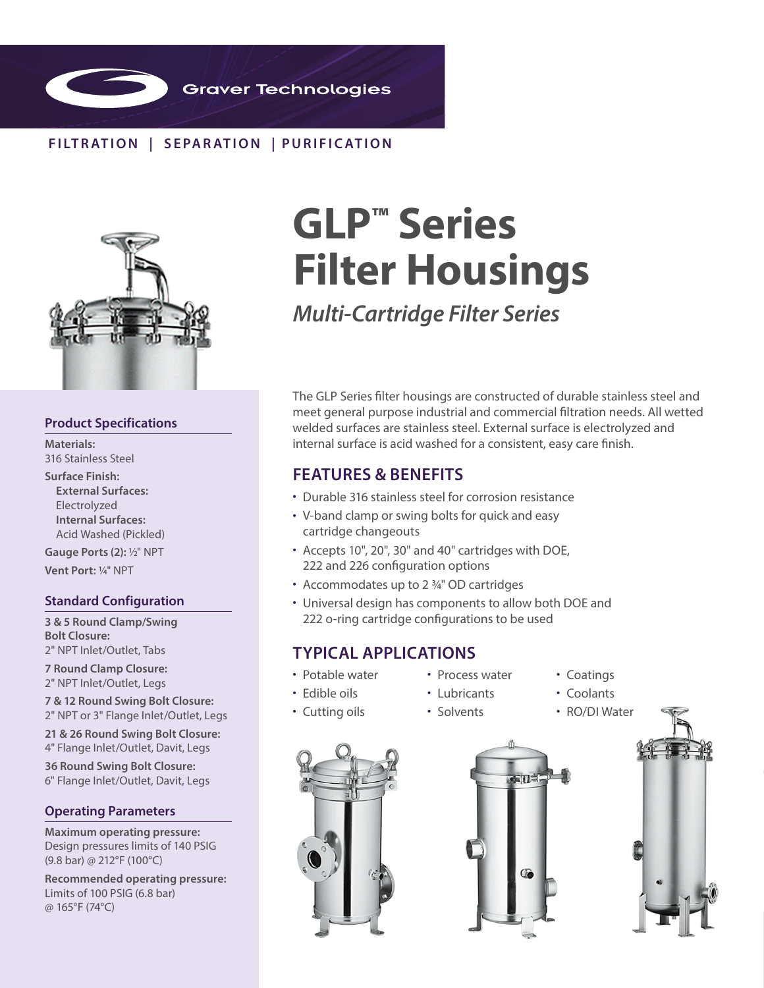

## **FILTR ATION | SEPAR ATION | PURIFIC ATION**



### **Product Specifications**

**Materials:**  316 Stainless Steel

**Surface Finish: External Surfaces:** Electrolyzed **Internal Surfaces:** Acid Washed (Pickled)

**Gauge Ports (2): 1/2" NPT Vent Port:** 1/4" NPT

### **Standard Configuration**

**3 & 5 Round Clamp/Swing Bolt Closure:**  2" NPT Inlet/Outlet, Tabs

**7 Round Clamp Closure:**  2" NPT Inlet/Outlet, Legs

**7 & 12 Round Swing Bolt Closure:**  2" NPT or 3" Flange Inlet/Outlet, Legs

**21 & 26 Round Swing Bolt Closure:** 

4" Flange Inlet/Outlet, Davit, Legs

**36 Round Swing Bolt Closure:**  6" Flange Inlet/Outlet, Davit, Legs

### **Operating Parameters**

**Maximum operating pressure:**  Design pressures limits of 140 PSIG (9.8 bar) @ 212°F (100°C)

**Recommended operating pressure:** Limits of 100 PSIG (6.8 bar) @ 165°F (74°C)

# **GLP™ Series Filter Housings**

*Multi-Cartridge Filter Series*

The GLP Series filter housings are constructed of durable stainless steel and meet general purpose industrial and commercial filtration needs. All wetted welded surfaces are stainless steel. External surface is electrolyzed and internal surface is acid washed for a consistent, easy care finish.

## **FEATURES & BENEFITS**

- Durable 316 stainless steel for corrosion resistance
- V-band clamp or swing bolts for quick and easy cartridge changeouts
- Accepts 10", 20", 30" and 40" cartridges with DOE, 222 and 226 configuration options
- Accommodates up to 2 <sup>3/4"</sup> OD cartridges
- Universal design has components to allow both DOE and 222 o-ring cartridge configurations to be used

• Process water

## **TYPICAL APPLICATIONS**

• Potable water • Edible oils

• Cutting oils

- Lubricants
- Coatings • Coolants
- Solvents
- RO/DI Water